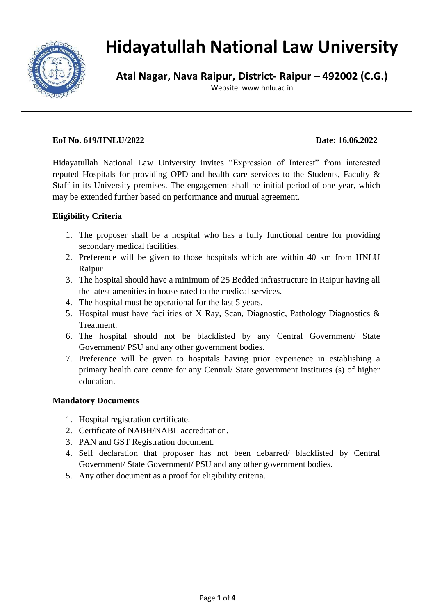

# **Hidayatullah National Law University**

**Atal Nagar, Nava Raipur, District- Raipur – 492002 (C.G.)**

Website: www.hnlu.ac.in

### **EoI No. 619/HNLU/2022 Date: 16.06.2022**

Hidayatullah National Law University invites "Expression of Interest" from interested reputed Hospitals for providing OPD and health care services to the Students, Faculty & Staff in its University premises. The engagement shall be initial period of one year, which may be extended further based on performance and mutual agreement.

## **Eligibility Criteria**

- 1. The proposer shall be a hospital who has a fully functional centre for providing secondary medical facilities.
- 2. Preference will be given to those hospitals which are within 40 km from HNLU Raipur
- 3. The hospital should have a minimum of 25 Bedded infrastructure in Raipur having all the latest amenities in house rated to the medical services.
- 4. The hospital must be operational for the last 5 years.
- 5. Hospital must have facilities of X Ray, Scan, Diagnostic, Pathology Diagnostics & Treatment.
- 6. The hospital should not be blacklisted by any Central Government/ State Government/ PSU and any other government bodies.
- 7. Preference will be given to hospitals having prior experience in establishing a primary health care centre for any Central/ State government institutes (s) of higher education.

## **Mandatory Documents**

- 1. Hospital registration certificate.
- 2. Certificate of NABH/NABL accreditation.
- 3. PAN and GST Registration document.
- 4. Self declaration that proposer has not been debarred/ blacklisted by Central Government/ State Government/ PSU and any other government bodies.
- 5. Any other document as a proof for eligibility criteria.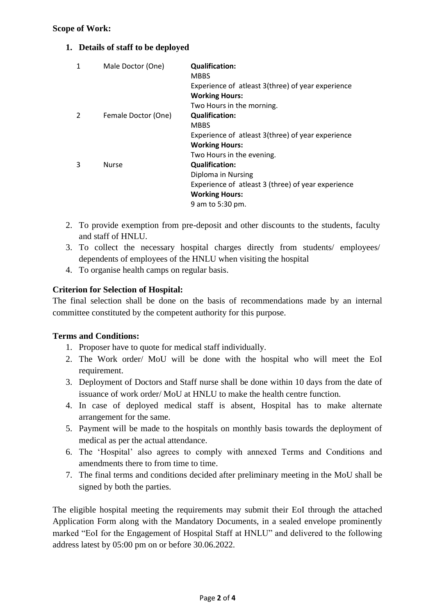#### **Scope of Work:**

### **1. Details of staff to be deployed**

| 1 | Male Doctor (One)   | <b>Qualification:</b><br><b>MBBS</b><br>Experience of atleast 3(three) of year experience<br><b>Working Hours:</b> |
|---|---------------------|--------------------------------------------------------------------------------------------------------------------|
|   |                     | Two Hours in the morning.                                                                                          |
|   | Female Doctor (One) | <b>Qualification:</b>                                                                                              |
|   |                     | <b>MBBS</b>                                                                                                        |
|   |                     | Experience of atleast 3(three) of year experience                                                                  |
|   |                     | <b>Working Hours:</b>                                                                                              |
|   |                     | Two Hours in the evening.                                                                                          |
| 3 | <b>Nurse</b>        | <b>Qualification:</b>                                                                                              |
|   |                     | Diploma in Nursing                                                                                                 |
|   |                     | Experience of atleast 3 (three) of year experience                                                                 |
|   |                     | <b>Working Hours:</b>                                                                                              |
|   |                     | 9 am to 5:30 pm.                                                                                                   |
|   |                     |                                                                                                                    |

- 2. To provide exemption from pre-deposit and other discounts to the students, faculty and staff of HNLU.
- 3. To collect the necessary hospital charges directly from students/ employees/ dependents of employees of the HNLU when visiting the hospital
- 4. To organise health camps on regular basis.

#### **Criterion for Selection of Hospital:**

The final selection shall be done on the basis of recommendations made by an internal committee constituted by the competent authority for this purpose.

#### **Terms and Conditions:**

- 1. Proposer have to quote for medical staff individually.
- 2. The Work order/ MoU will be done with the hospital who will meet the EoI requirement.
- 3. Deployment of Doctors and Staff nurse shall be done within 10 days from the date of issuance of work order/ MoU at HNLU to make the health centre function.
- 4. In case of deployed medical staff is absent, Hospital has to make alternate arrangement for the same.
- 5. Payment will be made to the hospitals on monthly basis towards the deployment of medical as per the actual attendance.
- 6. The 'Hospital' also agrees to comply with annexed Terms and Conditions and amendments there to from time to time.
- 7. The final terms and conditions decided after preliminary meeting in the MoU shall be signed by both the parties.

The eligible hospital meeting the requirements may submit their EoI through the attached Application Form along with the Mandatory Documents, in a sealed envelope prominently marked "EoI for the Engagement of Hospital Staff at HNLU" and delivered to the following address latest by 05:00 pm on or before 30.06.2022.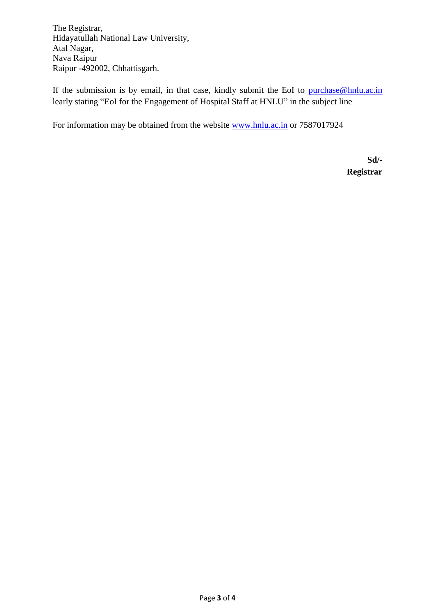The Registrar, Hidayatullah National Law University, Atal Nagar, Nava Raipur Raipur -492002, Chhattisgarh.

If the submission is by email, in that case, kindly submit the EoI to [purchase@hnlu.ac.in](mailto:purchase@hnlu.ac.in) learly stating "EoI for the Engagement of Hospital Staff at HNLU" in the subject line

For information may be obtained from the website [www.hnlu.ac.in](http://www.hnlu.ac.in/) or 7587017924

**Sd/- Registrar**